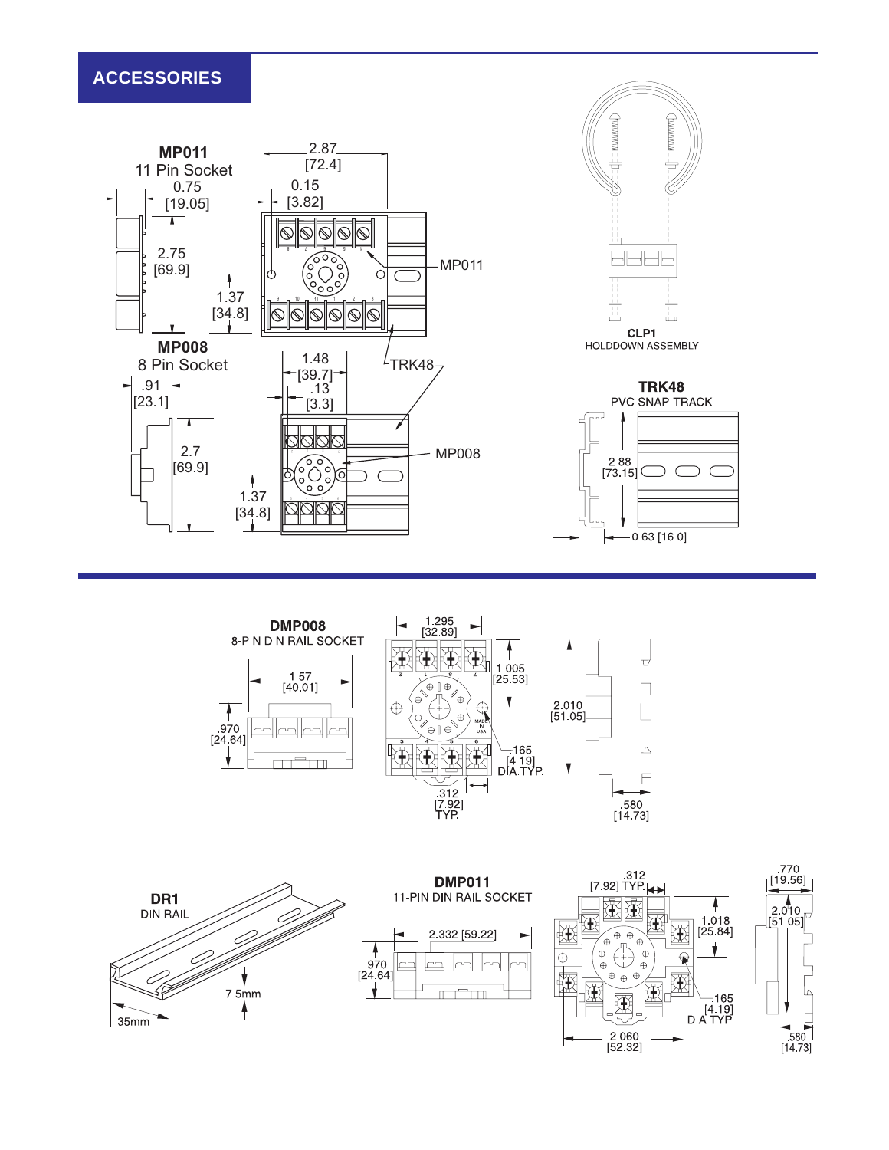# **ACCESSORIES**









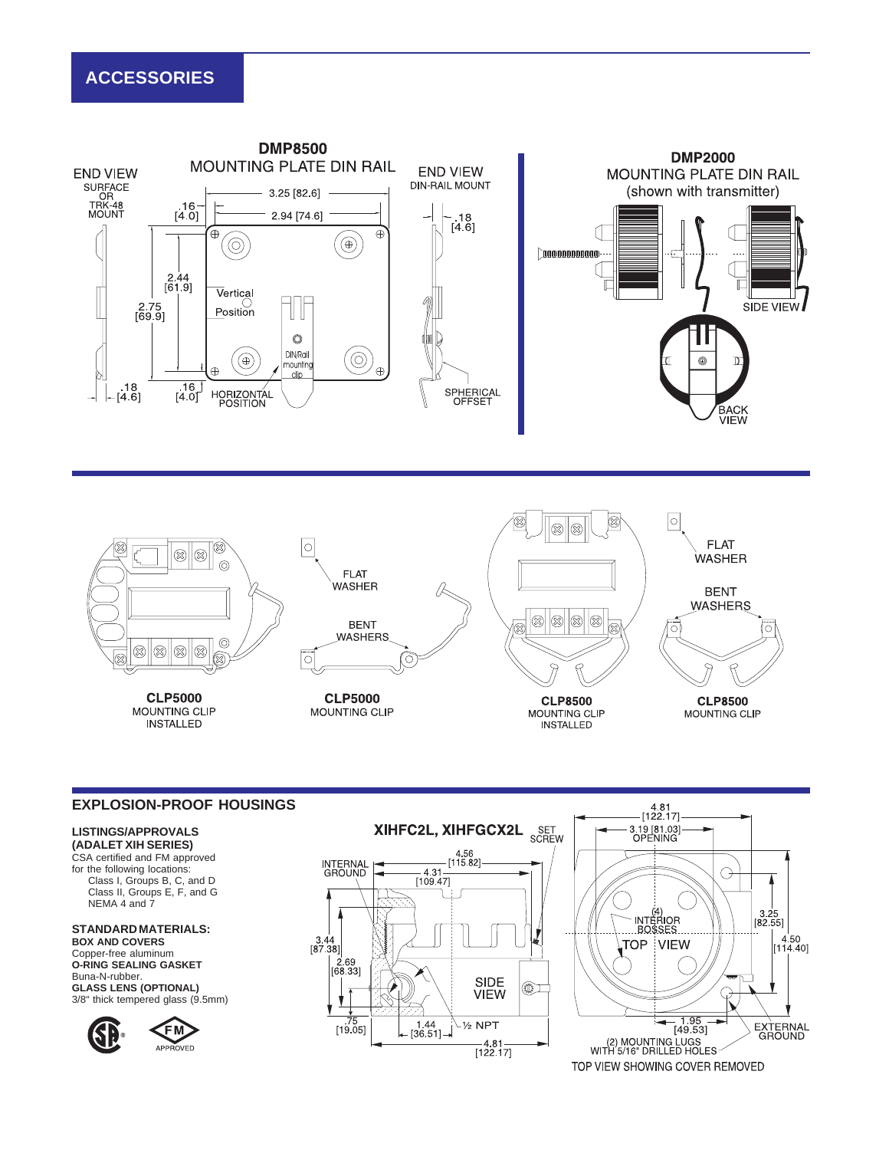# **ACCESSORIES**





### **EXPLOSION-PROOF HOUSINGS**

#### **LISTINGS/APPROVALS (ADALET XIH SERIES)**

CSA certified and FM approved for the following locations: Class I, Groups B, C, and D Class II, Groups E, F, and G NEMA 4 and 7

## **STANDARD MATERIALS:**

**BOX AND COVERS** Copper-free aluminum **O-RING SEALING GASKET** Buna-N-rubber. **GLASS LENS (OPTIONAL)** 3/8" thick tempered glass (9.5mm)